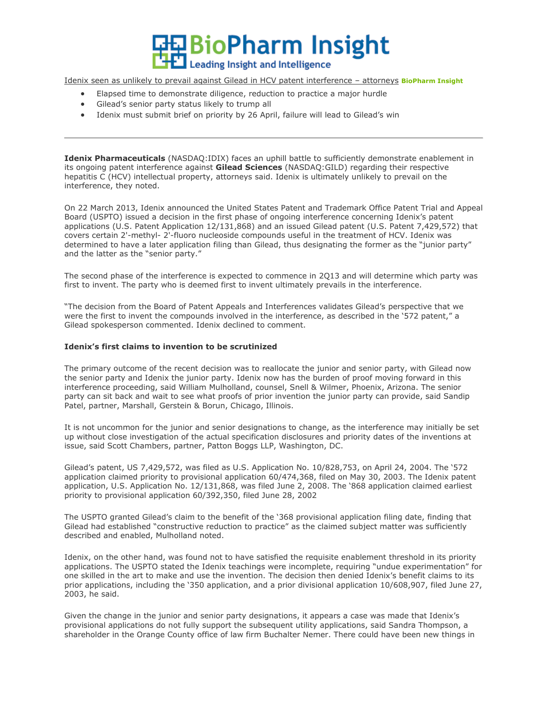**旦BioPharm Insight Leading Insight and Intelligence** 

[Idenix seen as unlikely to prevail against Gilead in HCV patent interference](http://www2.pharmawire.com/ho.aspx?e=104&a=750828&i=4656508&d=20130404&s=1560688) – attorneys **BioPharm Insight**

- Elapsed time to demonstrate diligence, reduction to practice a major hurdle
- Gilead's senior party status likely to trump all
- Idenix must submit brief on priority by 26 April, failure will lead to Gilead's win

**Idenix Pharmaceuticals** (NASDAQ:IDIX) faces an uphill battle to sufficiently demonstrate enablement in its ongoing patent interference against **Gilead Sciences** (NASDAQ:GILD) regarding their respective hepatitis C (HCV) intellectual property, attorneys said. Idenix is ultimately unlikely to prevail on the interference, they noted.

On 22 March 2013, Idenix announced the United States Patent and Trademark Office Patent Trial and Appeal Board (USPTO) issued a decision in the first phase of ongoing interference concerning Idenix's patent applications (U.S. Patent Application 12/131,868) and an issued Gilead patent (U.S. Patent 7,429,572) that covers certain 2'-methyl- 2'-fluoro nucleoside compounds useful in the treatment of HCV. Idenix was determined to have a later application filing than Gilead, thus designating the former as the "junior party" and the latter as the "senior party."

The second phase of the interference is expected to commence in 2Q13 and will determine which party was first to invent. The party who is deemed first to invent ultimately prevails in the interference.

"The decision from the Board of Patent Appeals and Interferences validates Gilead's perspective that we were the first to invent the compounds involved in the interference, as described in the '572 patent," a Gilead spokesperson commented. Idenix declined to comment.

## **Idenix's first claims to invention to be scrutinized**

The primary outcome of the recent decision was to reallocate the junior and senior party, with Gilead now the senior party and Idenix the junior party. Idenix now has the burden of proof moving forward in this interference proceeding, said William Mulholland, counsel, Snell & Wilmer, Phoenix, Arizona. The senior party can sit back and wait to see what proofs of prior invention the junior party can provide, said Sandip Patel, partner, Marshall, Gerstein & Borun, Chicago, Illinois.

It is not uncommon for the junior and senior designations to change, as the interference may initially be set up without close investigation of the actual specification disclosures and priority dates of the inventions at issue, said Scott Chambers, partner, Patton Boggs LLP, Washington, DC.

Gilead's patent, US 7,429,572, was filed as U.S. Application No. 10/828,753, on April 24, 2004. The '572 application claimed priority to provisional application 60/474,368, filed on May 30, 2003. The Idenix patent application, U.S. Application No. 12/131,868, was filed June 2, 2008. The '868 application claimed earliest priority to provisional application 60/392,350, filed June 28, 2002

The USPTO granted Gilead's claim to the benefit of the '368 provisional application filing date, finding that Gilead had established "constructive reduction to practice" as the claimed subject matter was sufficiently described and enabled, Mulholland noted.

Idenix, on the other hand, was found not to have satisfied the requisite enablement threshold in its priority applications. The USPTO stated the Idenix teachings were incomplete, requiring "undue experimentation" for one skilled in the art to make and use the invention. The decision then denied Idenix's benefit claims to its prior applications, including the '350 application, and a prior divisional application 10/608,907, filed June 27, 2003, he said.

Given the change in the junior and senior party designations, it appears a case was made that Idenix's provisional applications do not fully support the subsequent utility applications, said Sandra Thompson, a shareholder in the Orange County office of law firm Buchalter Nemer. There could have been new things in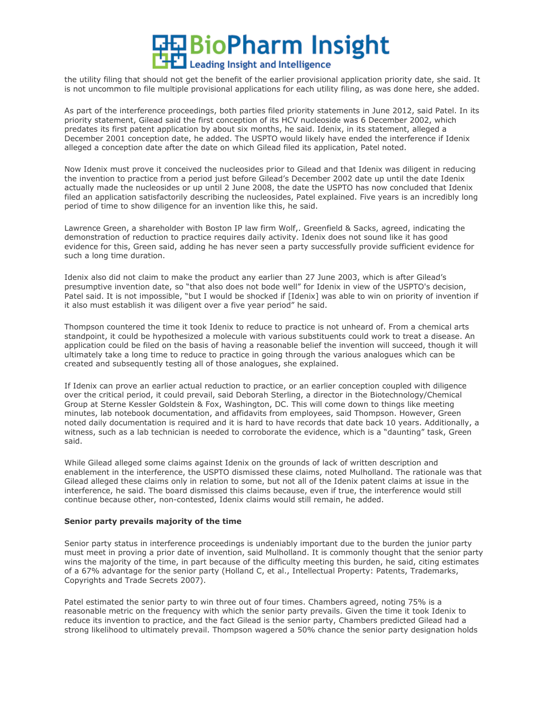

the utility filing that should not get the benefit of the earlier provisional application priority date, she said. It is not uncommon to file multiple provisional applications for each utility filing, as was done here, she added.

As part of the interference proceedings, both parties filed priority statements in June 2012, said Patel. In its priority statement, Gilead said the first conception of its HCV nucleoside was 6 December 2002, which predates its first patent application by about six months, he said. Idenix, in its statement, alleged a December 2001 conception date, he added. The USPTO would likely have ended the interference if Idenix alleged a conception date after the date on which Gilead filed its application, Patel noted.

Now Idenix must prove it conceived the nucleosides prior to Gilead and that Idenix was diligent in reducing the invention to practice from a period just before Gilead's December 2002 date up until the date Idenix actually made the nucleosides or up until 2 June 2008, the date the USPTO has now concluded that Idenix filed an application satisfactorily describing the nucleosides, Patel explained. Five years is an incredibly long period of time to show diligence for an invention like this, he said.

Lawrence Green, a shareholder with Boston IP law firm Wolf,. Greenfield & Sacks, agreed, indicating the demonstration of reduction to practice requires daily activity. Idenix does not sound like it has good evidence for this, Green said, adding he has never seen a party successfully provide sufficient evidence for such a long time duration.

Idenix also did not claim to make the product any earlier than 27 June 2003, which is after Gilead's presumptive invention date, so "that also does not bode well" for Idenix in view of the USPTO's decision, Patel said. It is not impossible, "but I would be shocked if [Idenix] was able to win on priority of invention if it also must establish it was diligent over a five year period" he said.

Thompson countered the time it took Idenix to reduce to practice is not unheard of. From a chemical arts standpoint, it could be hypothesized a molecule with various substituents could work to treat a disease. An application could be filed on the basis of having a reasonable belief the invention will succeed, though it will ultimately take a long time to reduce to practice in going through the various analogues which can be created and subsequently testing all of those analogues, she explained.

If Idenix can prove an earlier actual reduction to practice, or an earlier conception coupled with diligence over the critical period, it could prevail, said Deborah Sterling, a director in the Biotechnology/Chemical Group at Sterne Kessler Goldstein & Fox, Washington, DC. This will come down to things like meeting minutes, lab notebook documentation, and affidavits from employees, said Thompson. However, Green noted daily documentation is required and it is hard to have records that date back 10 years. Additionally, a witness, such as a lab technician is needed to corroborate the evidence, which is a "daunting" task, Green said.

While Gilead alleged some claims against Idenix on the grounds of lack of written description and enablement in the interference, the USPTO dismissed these claims, noted Mulholland. The rationale was that Gilead alleged these claims only in relation to some, but not all of the Idenix patent claims at issue in the interference, he said. The board dismissed this claims because, even if true, the interference would still continue because other, non-contested, Idenix claims would still remain, he added.

## **Senior party prevails majority of the time**

Senior party status in interference proceedings is undeniably important due to the burden the junior party must meet in proving a prior date of invention, said Mulholland. It is commonly thought that the senior party wins the majority of the time, in part because of the difficulty meeting this burden, he said, citing estimates of a 67% advantage for the senior party (Holland C, et al., Intellectual Property: Patents, Trademarks, Copyrights and Trade Secrets 2007).

Patel estimated the senior party to win three out of four times. Chambers agreed, noting 75% is a reasonable metric on the frequency with which the senior party prevails. Given the time it took Idenix to reduce its invention to practice, and the fact Gilead is the senior party, Chambers predicted Gilead had a strong likelihood to ultimately prevail. Thompson wagered a 50% chance the senior party designation holds